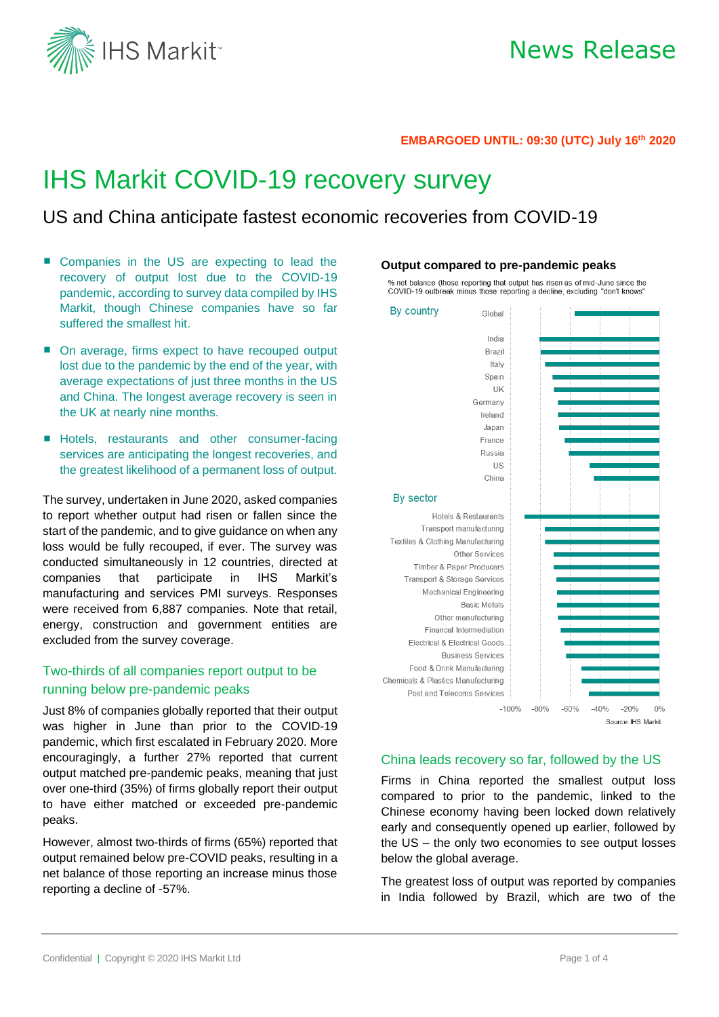

#### **EMBARGOED UNTIL: 09:30 (UTC) July 16 th 2020**

# IHS Markit COVID-19 recovery survey

## US and China anticipate fastest economic recoveries from COVID-19

- Companies in the US are expecting to lead the recovery of output lost due to the COVID-19 pandemic, according to survey data compiled by IHS Markit, though Chinese companies have so far suffered the smallest hit.
- On average, firms expect to have recouped output lost due to the pandemic by the end of the year, with average expectations of just three months in the US and China. The longest average recovery is seen in the UK at nearly nine months.
- **E** Hotels, restaurants and other consumer-facing services are anticipating the longest recoveries, and the greatest likelihood of a permanent loss of output.

The survey, undertaken in June 2020, asked companies to report whether output had risen or fallen since the start of the pandemic, and to give guidance on when any loss would be fully recouped, if ever. The survey was conducted simultaneously in 12 countries, directed at companies that participate in IHS Markit's manufacturing and services PMI surveys. Responses were received from 6,887 companies. Note that retail, energy, construction and government entities are excluded from the survey coverage.

## Two-thirds of all companies report output to be running below pre-pandemic peaks

Just 8% of companies globally reported that their output was higher in June than prior to the COVID-19 pandemic, which first escalated in February 2020. More encouragingly, a further 27% reported that current output matched pre-pandemic peaks, meaning that just over one-third (35%) of firms globally report their output to have either matched or exceeded pre-pandemic peaks.

However, almost two-thirds of firms (65%) reported that output remained below pre-COVID peaks, resulting in a net balance of those reporting an increase minus those reporting a decline of -57%.

#### **Output compared to pre-pandemic peaks**

% net balance (those reporting that output has risen as of mid-June since the COVID-19 outbreak minus those reporting a decline, excluding "don't knows"

By country Global India **Brazil** Italy Spain UK Germany Ireland Japan France Russia  $\overline{11S}$ China By sector **Hotels & Restaurants** Transport manufacturing Textiles & Clothing Manufacturing Other Services Timber & Paper Producers Transport & Storage Services Mechanical Engineering **Basic Metals** Other manufacturing Financal Intermediation **Electrical & Electrical Goods Business Services** Food & Drink Manufacturing Chemicals & Plastics Manufacturing Post and Telecoms Services  $-100\% - 80\%$  $-60%$  $-40%$  $-20%$  $0%$ Source: IHS Markit

#### China leads recovery so far, followed by the US

Firms in China reported the smallest output loss compared to prior to the pandemic, linked to the Chinese economy having been locked down relatively early and consequently opened up earlier, followed by the US – the only two economies to see output losses below the global average.

The greatest loss of output was reported by companies in India followed by Brazil, which are two of the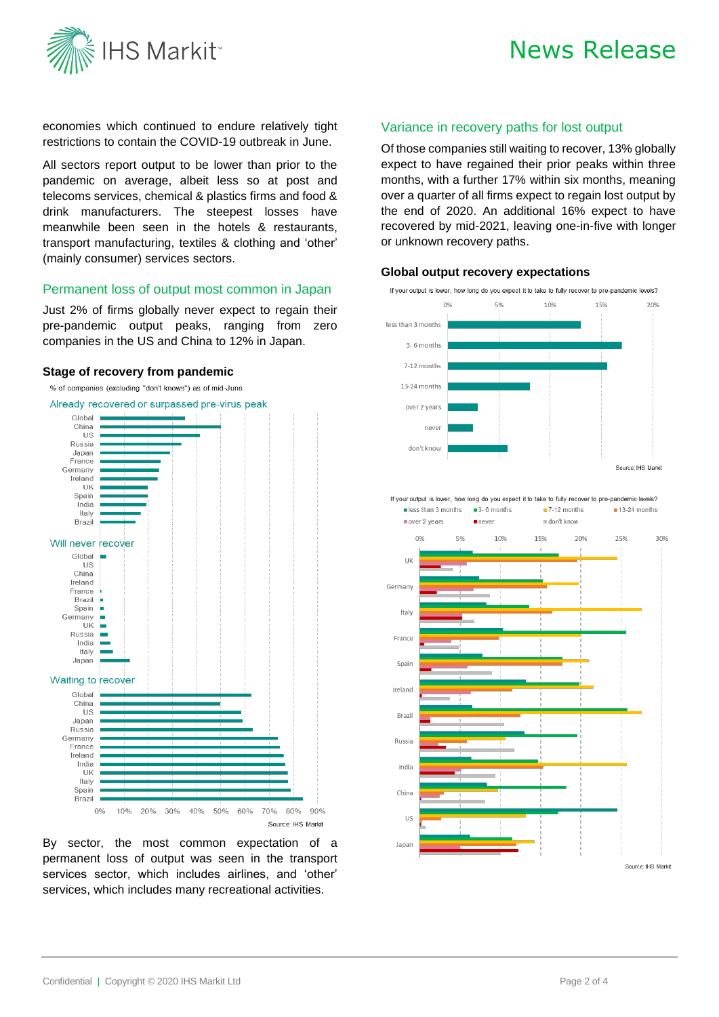

# News Release

economies which continued to endure relatively tight restrictions to contain the COVID-19 outbreak in June.

All sectors report output to be lower than prior to the pandemic on average, albeit less so at post and telecoms services, chemical & plastics firms and food & drink manufacturers. The steepest losses have meanwhile been seen in the hotels & restaurants, transport manufacturing, textiles & clothing and 'other' (mainly consumer) services sectors.

## Permanent loss of output most common in Japan

Just 2% of firms globally never expect to regain their pre-pandemic output peaks, ranging from zero companies in the US and China to 12% in Japan.

#### **Stage of recovery from pandemic**



By sector, the most common expectation of a permanent loss of output was seen in the transport services sector, which includes airlines, and 'other' services, which includes many recreational activities.

### Variance in recovery paths for lost output

Of those companies still waiting to recover, 13% globally expect to have regained their prior peaks within three months, with a further 17% within six months, meaning over a quarter of all firms expect to regain lost output by the end of 2020. An additional 16% expect to have recovered by mid-2021, leaving one-in-five with longer or unknown recovery paths.



#### **Global output recovery expectations**

If your output is lower, how long do you expect it to take to fully recover to pre-pandemic levels?

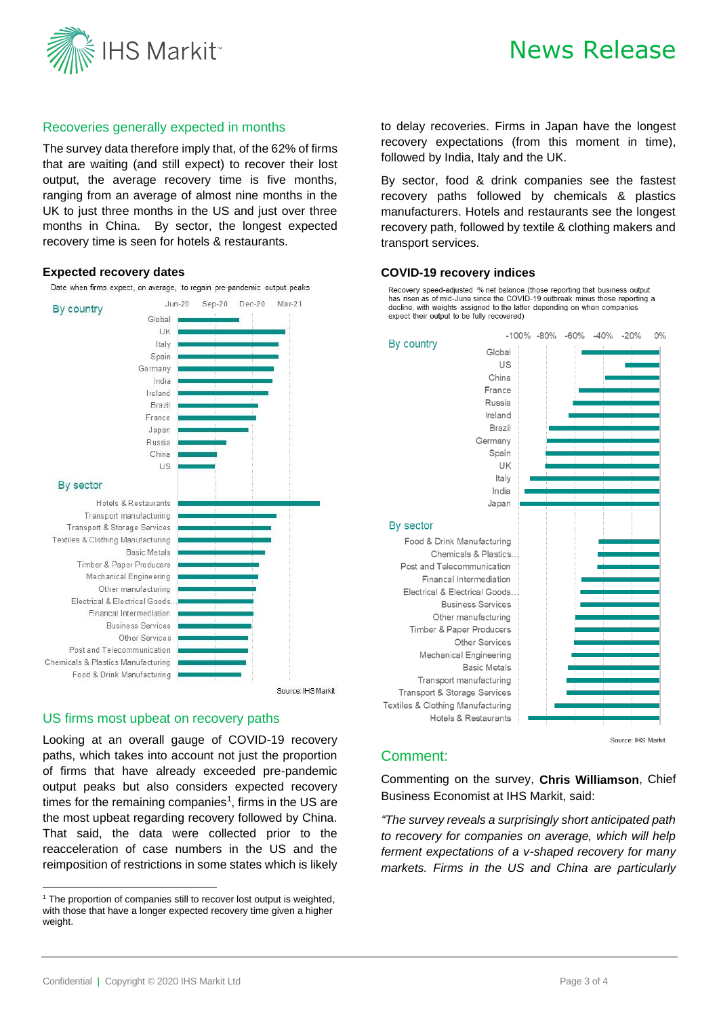

### Recoveries generally expected in months

The survey data therefore imply that, of the 62% of firms that are waiting (and still expect) to recover their lost output, the average recovery time is five months, ranging from an average of almost nine months in the UK to just three months in the US and just over three months in China. By sector, the longest expected recovery time is seen for hotels & restaurants.

### **Expected recovery dates**

Date when firms expect, on average, to regain pre-pandemic output peaks



#### US firms most upbeat on recovery paths

Looking at an overall gauge of COVID-19 recovery paths, which takes into account not just the proportion of firms that have already exceeded pre-pandemic output peaks but also considers expected recovery times for the remaining companies<sup>1</sup>, firms in the US are the most upbeat regarding recovery followed by China. That said, the data were collected prior to the reacceleration of case numbers in the US and the reimposition of restrictions in some states which is likely

to delay recoveries. Firms in Japan have the longest recovery expectations (from this moment in time), followed by India, Italy and the UK.

By sector, food & drink companies see the fastest recovery paths followed by chemicals & plastics manufacturers. Hotels and restaurants see the longest recovery path, followed by textile & clothing makers and transport services.

#### **COVID-19 recovery indices**

Recovery speed-adjusted % net balance (those reporting that business output has risen as of mid-June since the COVID-19 outbreak minus those reporting a decline, with weights assigned to the latter depending on when companies expect their output to be fully recovered)



#### Source: IHS Markit

### Comment:

Commenting on the survey, **Chris Williamson**, Chief Business Economist at IHS Markit, said:

*"The survey reveals a surprisingly short anticipated path to recovery for companies on average, which will help ferment expectations of a v-shaped recovery for many markets. Firms in the US and China are particularly* 

<sup>&</sup>lt;sup>1</sup> The proportion of companies still to recover lost output is weighted, with those that have a longer expected recovery time given a higher weight.